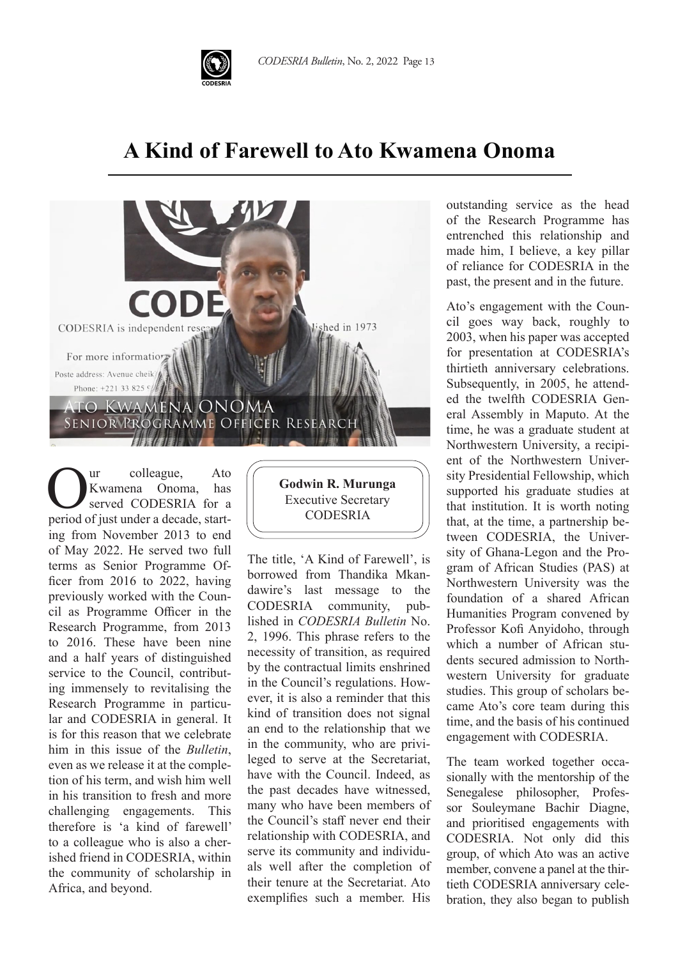

## **A Kind of Farewell to Ato Kwamena Onoma**



UR Executive Secretary<br>
Served CODESRIA for a Executive Secretary<br>
Derived of just under a decade start-<br>
CODESRIA ur colleague, Ato Kwamena Onoma, has served CODESRIA for a period of just under a decade, starting from November 2013 to end of May 2022. He served two full terms as Senior Programme Officer from 2016 to 2022, having previously worked with the Council as Programme Officer in the Research Programme, from 2013 to 2016. These have been nine and a half years of distinguished service to the Council, contributing immensely to revitalising the Research Programme in particular and CODESRIA in general. It is for this reason that we celebrate him in this issue of the *Bulletin*, even as we release it at the completion of his term, and wish him well in his transition to fresh and more challenging engagements. This therefore is 'a kind of farewell' to a colleague who is also a cherished friend in CODESRIA, within the community of scholarship in Africa, and beyond.

**Godwin R. Murunga** CODESRIA

The title, 'A Kind of Farewell', is borrowed from Thandika Mkandawire's last message to the CODESRIA community, published in *CODESRIA Bulletin* No. 2, 1996. This phrase refers to the necessity of transition, as required by the contractual limits enshrined in the Council's regulations. However, it is also a reminder that this kind of transition does not signal an end to the relationship that we in the community, who are privileged to serve at the Secretariat, have with the Council. Indeed, as the past decades have witnessed, many who have been members of the Council's staff never end their relationship with CODESRIA, and serve its community and individuals well after the completion of their tenure at the Secretariat. Ato exemplifies such a member. His

outstanding service as the head of the Research Programme has entrenched this relationship and made him, I believe, a key pillar of reliance for CODESRIA in the past, the present and in the future.

Ato's engagement with the Council goes way back, roughly to 2003, when his paper was accepted for presentation at CODESRIA's thirtieth anniversary celebrations. Subsequently, in 2005, he attended the twelfth CODESRIA General Assembly in Maputo. At the time, he was a graduate student at Northwestern University, a recipient of the Northwestern University Presidential Fellowship, which supported his graduate studies at that institution. It is worth noting that, at the time, a partnership between CODESRIA, the University of Ghana-Legon and the Program of African Studies (PAS) at Northwestern University was the foundation of a shared African Humanities Program convened by Professor Kofi Anyidoho, through which a number of African students secured admission to Northwestern University for graduate studies. This group of scholars became Ato's core team during this time, and the basis of his continued engagement with CODESRIA.

The team worked together occasionally with the mentorship of the Senegalese philosopher, Professor Souleymane Bachir Diagne, and prioritised engagements with CODESRIA. Not only did this group, of which Ato was an active member, convene a panel at the thirtieth CODESRIA anniversary celebration, they also began to publish